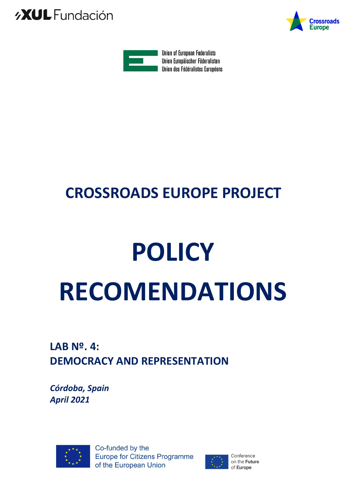





# **CROSSROADS EUROPE PROJECT**

# **POLICY RECOMENDATIONS**

## **LAB Nº. 4: DEMOCRACY AND REPRESENTATION**

*Córdoba, Spain April 2021*



Co-funded by the **Europe for Citizens Programme** of the European Union

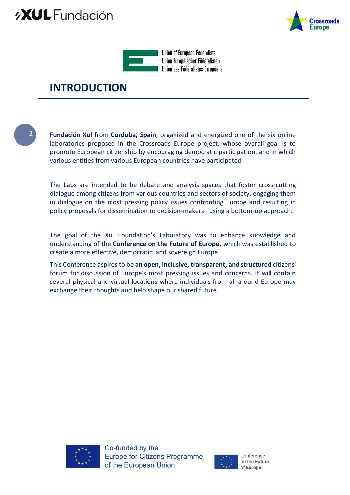## *AXUL* Fundación





**Union of European Federalists** Union Europäischer Föderalisten Union des Fédéralistes Européens

### **INTRODUCTION**

**2**

**Fundación Xul** from **Cordoba, Spain**, organized and energized one of the six online laboratories proposed in the Crossroads Europe project, whose overall goal is to promote European citizenship by encouraging democratic participation, and in which various entities from various European countries have participated.

The Labs are intended to be debate and analysis spaces that foster cross-cutting dialogue among citizens from various countries and sectors of society, engaging them in dialogue on the most pressing policy issues confronting Europe and resulting in policy proposals for dissemination to decision-makers - using a bottom-up approach.

The goal of the Xul Foundation's Laboratory was to enhance knowledge and understanding of the **Conference on the Future of Europe**, which was established to create a more effective, democratic, and sovereign Europe.

This Conference aspires to be **an open, inclusive, transparent, and structured** citizens' forum for discussion of Europe's most pressing issues and concerns. It will contain several physical and virtual locations where individuals from all around Europe may exchange their thoughts and help shape our shared future.



Co-funded by the **Europe for Citizens Programme** of the European Union

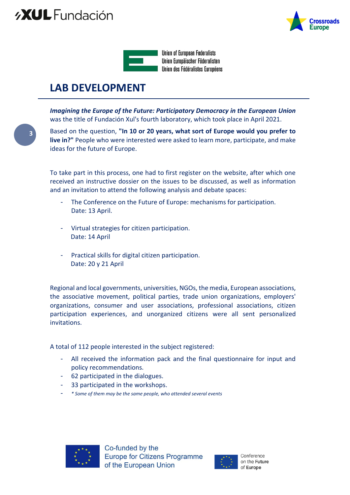## *AXUL* Fundación





**LAB DEVELOPMENT**

*Imagining the Europe of the Future: Participatory Democracy in the European Union*  was the title of Fundación Xul's fourth laboratory, which took place in April 2021.

**3**

Based on the question, **"In 10 or 20 years, what sort of Europe would you prefer to live in?"** People who were interested were asked to learn more, participate, and make ideas for the future of Europe.

To take part in this process, one had to first register on the website, after which one received an instructive dossier on the issues to be discussed, as well as information and an invitation to attend the following analysis and debate spaces:

- The Conference on the Future of Europe: mechanisms for participation. Date: 13 April.
- Virtual strategies for citizen participation. Date: 14 April
- Practical skills for digital citizen participation. Date: 20 y 21 April

Regional and local governments, universities, NGOs, the media, European associations, the associative movement, political parties, trade union organizations, employers' organizations, consumer and user associations, professional associations, citizen participation experiences, and unorganized citizens were all sent personalized invitations.

A total of 112 people interested in the subject registered:

- All received the information pack and the final questionnaire for input and policy recommendations.
- 62 participated in the dialogues.
- 33 participated in the workshops.
- *\* Some of them may be the same people, who attended several events*



Co-funded by the **Europe for Citizens Programme** of the European Union

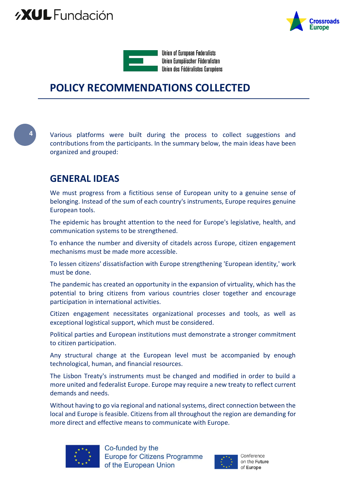



### **POLICY RECOMMENDATIONS COLLECTED**

**4**

Various platforms were built during the process to collect suggestions and contributions from the participants. In the summary below, the main ideas have been organized and grouped:

#### **GENERAL IDEAS**

We must progress from a fictitious sense of European unity to a genuine sense of belonging. Instead of the sum of each country's instruments, Europe requires genuine European tools.

The epidemic has brought attention to the need for Europe's legislative, health, and communication systems to be strengthened.

To enhance the number and diversity of citadels across Europe, citizen engagement mechanisms must be made more accessible.

To lessen citizens' dissatisfaction with Europe strengthening 'European identity,' work must be done.

The pandemic has created an opportunity in the expansion of virtuality, which has the potential to bring citizens from various countries closer together and encourage participation in international activities.

Citizen engagement necessitates organizational processes and tools, as well as exceptional logistical support, which must be considered.

Political parties and European institutions must demonstrate a stronger commitment to citizen participation.

Any structural change at the European level must be accompanied by enough technological, human, and financial resources.

The Lisbon Treaty's instruments must be changed and modified in order to build a more united and federalist Europe. Europe may require a new treaty to reflect current demands and needs.

Without having to go via regional and national systems, direct connection between the local and Europe is feasible. Citizens from all throughout the region are demanding for more direct and effective means to communicate with Europe.



Co-funded by the **Europe for Citizens Programme** of the European Union

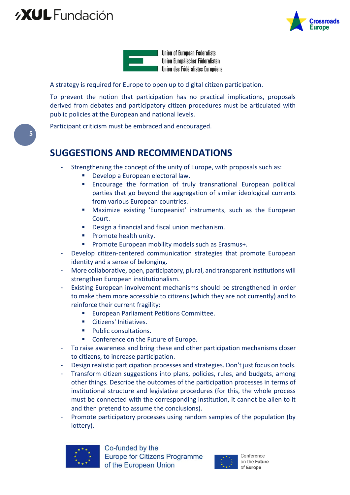## *AXUL* Fundación





**Union of European Federalists** Union Europäischer Föderalisten Union des Fédéralistes Européens

A strategy is required for Europe to open up to digital citizen participation.

To prevent the notion that participation has no practical implications, proposals derived from debates and participatory citizen procedures must be articulated with public policies at the European and national levels.

Participant criticism must be embraced and encouraged.

#### **SUGGESTIONS AND RECOMMENDATIONS**

- Strengthening the concept of the unity of Europe, with proposals such as:
	- Develop a European electoral law.
	- Encourage the formation of truly transnational European political parties that go beyond the aggregation of similar ideological currents from various European countries.
	- Maximize existing 'Europeanist' instruments, such as the European Court.
	- **Design a financial and fiscal union mechanism.**
	- **Promote health unity.**
	- **Promote European mobility models such as Erasmus+.**
- Develop citizen-centered communication strategies that promote European identity and a sense of belonging.
- More collaborative, open, participatory, plural, and transparent institutions will strengthen European institutionalism.
- Existing European involvement mechanisms should be strengthened in order to make them more accessible to citizens (which they are not currently) and to reinforce their current fragility:
	- **European Parliament Petitions Committee.**
	- Citizens' Initiatives.
	- **Public consultations.**
	- Conference on the Future of Europe.
- To raise awareness and bring these and other participation mechanisms closer to citizens, to increase participation.
- Design realistic participation processes and strategies. Don't just focus on tools.
- Transform citizen suggestions into plans, policies, rules, and budgets, among other things. Describe the outcomes of the participation processes in terms of institutional structure and legislative procedures (for this, the whole process must be connected with the corresponding institution, it cannot be alien to it and then pretend to assume the conclusions).
- Promote participatory processes using random samples of the population (by lottery).



Co-funded by the **Europe for Citizens Programme** of the European Union